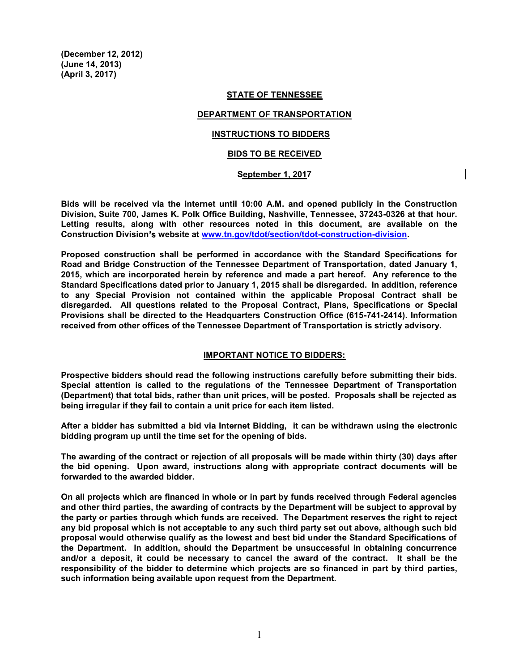(December 12, 2012) (June 14, 2013) (April 3, 2017)

#### STATE OF TENNESSEE

## DEPARTMENT OF TRANSPORTATION

# INSTRUCTIONS TO BIDDERS

#### BIDS TO BE RECEIVED

### **September** 1, 2017

Bids will be received via the internet until 10:00 A.M. and opened publicly in the Construction Division, Suite 700, James K. Polk Office Building, Nashville, Tennessee, 37243-0326 at that hour. Letting results, along with other resources noted in this document, are available on the Construction Division's website at www.tn.gov/tdot/section/tdot-construction-division.

Proposed construction shall be performed in accordance with the Standard Specifications for Road and Bridge Construction of the Tennessee Department of Transportation, dated January 1, 2015, which are incorporated herein by reference and made a part hereof. Any reference to the Standard Specifications dated prior to January 1, 2015 shall be disregarded. In addition, reference to any Special Provision not contained within the applicable Proposal Contract shall be disregarded. All questions related to the Proposal Contract, Plans, Specifications or Special Provisions shall be directed to the Headquarters Construction Office (615-741-2414). Information received from other offices of the Tennessee Department of Transportation is strictly advisory.

#### IMPORTANT NOTICE TO BIDDERS:

Prospective bidders should read the following instructions carefully before submitting their bids. Special attention is called to the regulations of the Tennessee Department of Transportation (Department) that total bids, rather than unit prices, will be posted. Proposals shall be rejected as being irregular if they fail to contain a unit price for each item listed.

After a bidder has submitted a bid via Internet Bidding, it can be withdrawn using the electronic bidding program up until the time set for the opening of bids.

The awarding of the contract or rejection of all proposals will be made within thirty (30) days after the bid opening. Upon award, instructions along with appropriate contract documents will be forwarded to the awarded bidder.

On all projects which are financed in whole or in part by funds received through Federal agencies and other third parties, the awarding of contracts by the Department will be subject to approval by the party or parties through which funds are received. The Department reserves the right to reject any bid proposal which is not acceptable to any such third party set out above, although such bid proposal would otherwise qualify as the lowest and best bid under the Standard Specifications of the Department. In addition, should the Department be unsuccessful in obtaining concurrence and/or a deposit, it could be necessary to cancel the award of the contract. It shall be the responsibility of the bidder to determine which projects are so financed in part by third parties, such information being available upon request from the Department.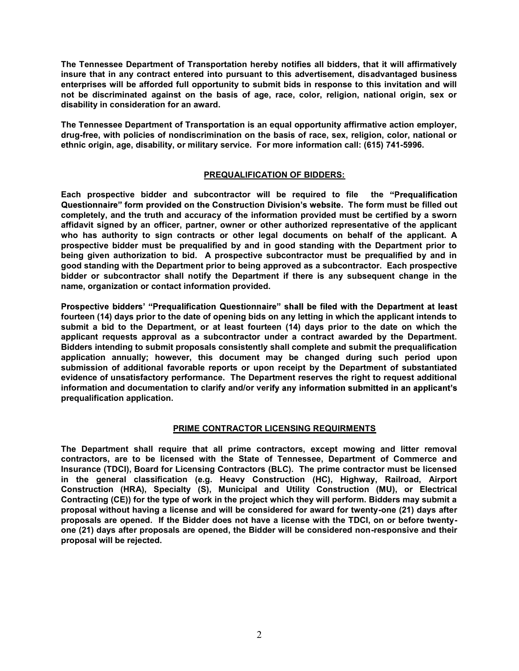The Tennessee Department of Transportation hereby notifies all bidders, that it will affirmatively insure that in any contract entered into pursuant to this advertisement, disadvantaged business enterprises will be afforded full opportunity to submit bids in response to this invitation and will not be discriminated against on the basis of age, race, color, religion, national origin, sex or disability in consideration for an award.

The Tennessee Department of Transportation is an equal opportunity affirmative action employer, drug-free, with policies of nondiscrimination on the basis of race, sex, religion, color, national or ethnic origin, age, disability, or military service. For more information call: (615) 741-5996.

# PREQUALIFICATION OF BIDDERS:

Each prospective bidder and subcontractor will be required to file the Questionnaire" form provided on the Construction Division's website. The form must be filled out completely, and the truth and accuracy of the information provided must be certified by a sworn affidavit signed by an officer, partner, owner or other authorized representative of the applicant who has authority to sign contracts or other legal documents on behalf of the applicant. A prospective bidder must be prequalified by and in good standing with the Department prior to being given authorization to bid. A prospective subcontractor must be prequalified by and in good standing with the Department prior to being approved as a subcontractor. Each prospective bidder or subcontractor shall notify the Department if there is any subsequent change in the name, organization or contact information provided.

Prospective bidders' "Prequalification Questionnaire" shall be filed with the Department at least fourteen (14) days prior to the date of opening bids on any letting in which the applicant intends to submit a bid to the Department, or at least fourteen (14) days prior to the date on which the applicant requests approval as a subcontractor under a contract awarded by the Department. Bidders intending to submit proposals consistently shall complete and submit the prequalification application annually; however, this document may be changed during such period upon submission of additional favorable reports or upon receipt by the Department of substantiated evidence of unsatisfactory performance. The Department reserves the right to request additional information and documentation to clarify and/or verify any information submitted in an applicant's prequalification application.

# PRIME CONTRACTOR LICENSING REQUIRMENTS

The Department shall require that all prime contractors, except mowing and litter removal contractors, are to be licensed with the State of Tennessee, Department of Commerce and Insurance (TDCI), Board for Licensing Contractors (BLC). The prime contractor must be licensed in the general classification (e.g. Heavy Construction (HC), Highway, Railroad, Airport Construction (HRA), Specialty (S), Municipal and Utility Construction (MU), or Electrical Contracting (CE)) for the type of work in the project which they will perform. Bidders may submit a proposal without having a license and will be considered for award for twenty-one (21) days after proposals are opened. If the Bidder does not have a license with the TDCI, on or before twentyone (21) days after proposals are opened, the Bidder will be considered non-responsive and their proposal will be rejected.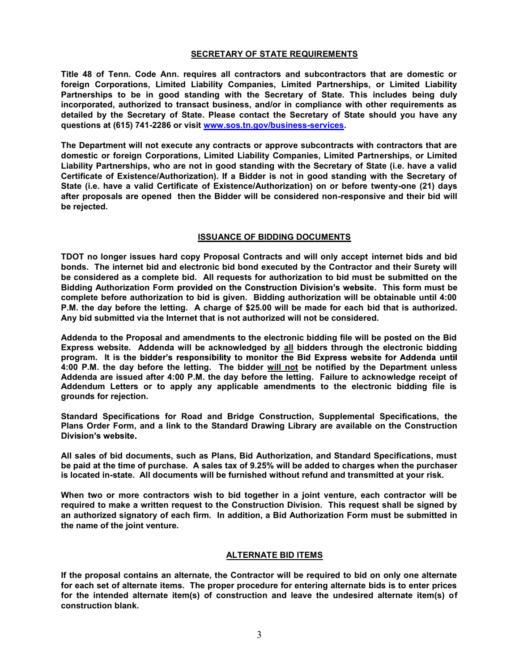## SECRETARY OF STATE REQUIREMENTS

Title 48 of Tenn. Code Ann. requires all contractors and subcontractors that are domestic or foreign Corporations, Limited Liability Companies, Limited Partnerships, or Limited Liability Partnerships to be in good standing with the Secretary of State. This includes being duly incorporated, authorized to transact business, and/or in compliance with other requirements as detailed by the Secretary of State. Please contact the Secretary of State should you have any questions at (615) 741-2286 or visit www.sos.tn.gov/business-services.

The Department will not execute any contracts or approve subcontracts with contractors that are domestic or foreign Corporations, Limited Liability Companies, Limited Partnerships, or Limited Liability Partnerships, who are not in good standing with the Secretary of State (i.e. have a valid Certificate of Existence/Authorization). If a Bidder is not in good standing with the Secretary of State (i.e. have a valid Certificate of Existence/Authorization) on or before twenty-one (21) days after proposals are opened then the Bidder will be considered non-responsive and their bid will be rejected.

### ISSUANCE OF BIDDING DOCUMENTS

TDOT no longer issues hard copy Proposal Contracts and will only accept internet bids and bid bonds. The internet bid and electronic bid bond executed by the Contractor and their Surety will be considered as a complete bid. All requests for authorization to bid must be submitted on the Bidding Authorization Form provided on the Construction Division's website. This form must be complete before authorization to bid is given. Bidding authorization will be obtainable until 4:00 P.M. the day before the letting. A charge of \$25.00 will be made for each bid that is authorized. Any bid submitted via the Internet that is not authorized will not be considered.

Addenda to the Proposal and amendments to the electronic bidding file will be posted on the Bid Express website. Addenda will be acknowledged by all bidders through the electronic bidding program. It is the bidder's responsibility to monitor the Bid Express website for Addenda until 4:00 P.M. the day before the letting. The bidder will not be notified by the Department unless Addenda are issued after 4:00 P.M. the day before the letting. Failure to acknowledge receipt of Addendum Letters or to apply any applicable amendments to the electronic bidding file is grounds for rejection.

Standard Specifications for Road and Bridge Construction, Supplemental Specifications, the Plans Order Form, and a link to the Standard Drawing Library are available on the Construction Division's website.

All sales of bid documents, such as Plans, Bid Authorization, and Standard Specifications, must be paid at the time of purchase. A sales tax of 9.25% will be added to charges when the purchaser is located in-state. All documents will be furnished without refund and transmitted at your risk.

When two or more contractors wish to bid together in a joint venture, each contractor will be required to make a written request to the Construction Division. This request shall be signed by an authorized signatory of each firm. In addition, a Bid Authorization Form must be submitted in the name of the joint venture.

#### ALTERNATE BID ITEMS

If the proposal contains an alternate, the Contractor will be required to bid on only one alternate for each set of alternate items. The proper procedure for entering alternate bids is to enter prices for the intended alternate item(s) of construction and leave the undesired alternate item(s) of construction blank.